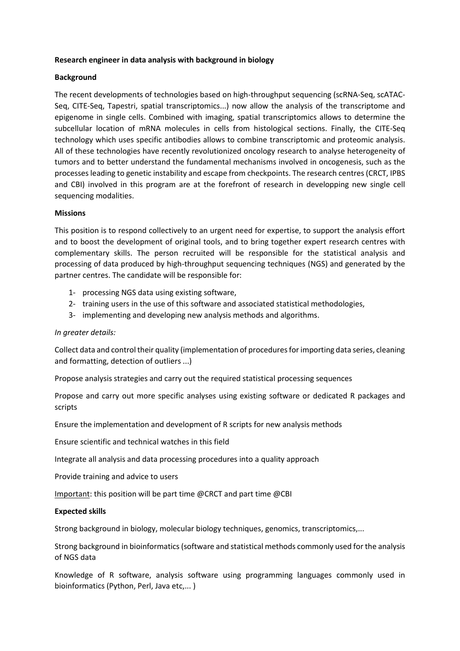# **Research engineer in data analysis with background in biology**

# **Background**

The recent developments of technologies based on high-throughput sequencing (scRNA-Seq, scATAC-Seq, CITE-Seq, Tapestri, spatial transcriptomics...) now allow the analysis of the transcriptome and epigenome in single cells. Combined with imaging, spatial transcriptomics allows to determine the subcellular location of mRNA molecules in cells from histological sections. Finally, the CITE-Seq technology which uses specific antibodies allows to combine transcriptomic and proteomic analysis. All of these technologies have recently revolutionized oncology research to analyse heterogeneity of tumors and to better understand the fundamental mechanisms involved in oncogenesis, such as the processes leading to genetic instability and escape from checkpoints. The research centres (CRCT, IPBS and CBI) involved in this program are at the forefront of research in developping new single cell sequencing modalities.

## **Missions**

This position is to respond collectively to an urgent need for expertise, to support the analysis effort and to boost the development of original tools, and to bring together expert research centres with complementary skills. The person recruited will be responsible for the statistical analysis and processing of data produced by high-throughput sequencing techniques (NGS) and generated by the partner centres. The candidate will be responsible for:

- 1- processing NGS data using existing software,
- 2- training users in the use of this software and associated statistical methodologies,
- 3- implementing and developing new analysis methods and algorithms.

## *In greater details:*

Collect data and control their quality (implementation of procedures for importing data series, cleaning and formatting, detection of outliers ...)

Propose analysis strategies and carry out the required statistical processing sequences

Propose and carry out more specific analyses using existing software or dedicated R packages and scripts

Ensure the implementation and development of R scripts for new analysis methods

Ensure scientific and technical watches in this field

Integrate all analysis and data processing procedures into a quality approach

Provide training and advice to users

Important: this position will be part time @CRCT and part time @CBI

## **Expected skills**

Strong background in biology, molecular biology techniques, genomics, transcriptomics,...

Strong background in bioinformatics (software and statistical methods commonly used for the analysis of NGS data

Knowledge of R software, analysis software using programming languages commonly used in bioinformatics (Python, Perl, Java etc,... )